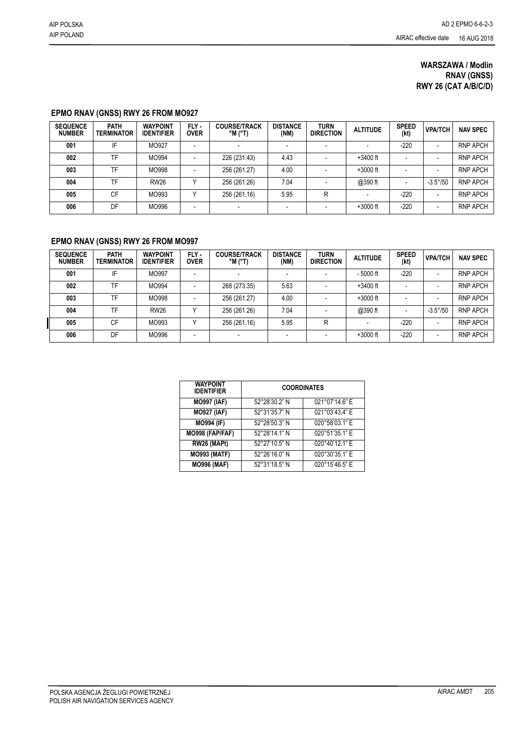## **WARSZAWA / Modlin RNAV (GNSS) RWY 26 (CAT A/B/C/D)**

## **EPMO RNAV (GNSS) RWY 26 FROM MO927**

| <b>SEQUENCE</b><br><b>NUMBER</b> | <b>PATH</b><br><b>TERMINATOR</b> | <b>WAYPOINT</b><br><b>IDENTIFIER</b> | FLY-<br><b>OVER</b>      | <b>COURSE/TRACK</b><br>$^{\circ}$ M ( $^{\circ}$ T) | <b>DISTANCE</b><br>(NM) | <b>TURN</b><br><b>DIRECTION</b> | <b>ALTITUDE</b> | <b>SPEED</b><br>(kt) | <b>VPA/TCH</b>           | <b>NAV SPEC</b> |
|----------------------------------|----------------------------------|--------------------------------------|--------------------------|-----------------------------------------------------|-------------------------|---------------------------------|-----------------|----------------------|--------------------------|-----------------|
| 001                              | IF                               | MO927                                |                          |                                                     |                         | -                               |                 |                      | ٠                        | <b>RNP APCH</b> |
| 002                              | TF.                              | MO994                                |                          | 226 (231.43)                                        | 4.43                    |                                 | $+3400$ ft      |                      | $\overline{\phantom{0}}$ | <b>RNP APCH</b> |
| 003                              | TF                               | MO998                                | $\overline{\phantom{a}}$ | 256 (261.27)                                        | 4.00                    |                                 | $+3000$ ft      |                      | ٠                        | <b>RNP APCH</b> |
| 004                              | TF                               | <b>RW26</b>                          |                          | 256 (261.26)                                        | 7.04                    |                                 | @390 ft         | -                    | $-3.5^{\circ}/50$        | <b>RNP APCH</b> |
| 005                              | CF                               | MO993                                |                          | 256 (261.16)                                        | 5.95                    | R                               |                 | $-220$               | $\overline{\phantom{0}}$ | <b>RNP APCH</b> |
| 006                              | DF                               | MO996                                | $\overline{\phantom{a}}$ |                                                     |                         |                                 | $+3000$ ft      | $-220$               | $\overline{\phantom{0}}$ | <b>RNP APCH</b> |

## **EPMO RNAV (GNSS) RWY 26 FROM MO997**

| <b>SEQUENCE</b><br><b>NUMBER</b> | <b>PATH</b><br><b>TERMINATOR</b> | <b>WAYPOINT</b><br><b>IDENTIFIER</b> | FLY-<br><b>OVER</b> | <b>COURSE/TRACK</b><br>$^{\circ}$ M ( $^{\circ}$ T) | <b>DISTANCE</b><br>(NM) | <b>TURN</b><br><b>DIRECTION</b> | <b>ALTITUDE</b> | <b>SPEED</b><br>(kt) | <b>VPA/TCH</b>           | <b>NAV SPEC</b> |
|----------------------------------|----------------------------------|--------------------------------------|---------------------|-----------------------------------------------------|-------------------------|---------------------------------|-----------------|----------------------|--------------------------|-----------------|
| 001                              | IF                               | MO997                                |                     |                                                     |                         |                                 | $-5000$ ft      | $-220$               | $\blacksquare$           | <b>RNP APCH</b> |
| 002                              | TF                               | MO994                                | -                   | 268 (273.35)                                        | 5.63                    |                                 | $+3400$ ft      |                      | $\overline{\phantom{0}}$ | <b>RNP APCH</b> |
| 003                              | TF                               | MO998                                |                     | 256 (261.27)                                        | 4.00                    |                                 | $+3000$ ft      |                      | -                        | <b>RNP APCH</b> |
| 004                              | TF                               | <b>RW26</b>                          |                     | 256 (261.26)                                        | 7.04                    |                                 | @390 ft         | $\blacksquare$       | $-3.5^{\circ}/50$        | <b>RNP APCH</b> |
| 005                              | СF                               | MO993                                |                     | 256 (261.16)                                        | 5.95                    | R                               | -               | $-220$               | $\overline{\phantom{a}}$ | <b>RNP APCH</b> |
| 006                              | DF                               | MO996                                |                     |                                                     |                         |                                 | $+3000$ ft      | $-220$               | -                        | <b>RNP APCH</b> |

| <b>WAYPOINT</b><br><b>IDENTIFIER</b> | <b>COORDINATES</b> |                |  |  |  |  |
|--------------------------------------|--------------------|----------------|--|--|--|--|
| <b>MO997 (IAF)</b>                   | 52°28'30.2" N      | 021°07'14.6" E |  |  |  |  |
| <b>MO927 (IAF)</b>                   | 52°31'35.7" N      | 021°03'43.4" E |  |  |  |  |
| <b>MO994 (IF)</b>                    | 52°28'50.3" N      | 020°58'03.1" E |  |  |  |  |
| MO998 (FAP/FAF)                      | 52°28'14.1" N      | 020°51'35.1" E |  |  |  |  |
| RW26 (MAPt)                          | 52°27'10.5" N      | 020°40'12.1" E |  |  |  |  |
| <b>MO993 (MATF)</b>                  | 52°26'16.0" N      | 020°30'35.1" E |  |  |  |  |
| <b>MO996 (MAF)</b>                   | 52°31'18.5" N      | 020°15'46.5" E |  |  |  |  |